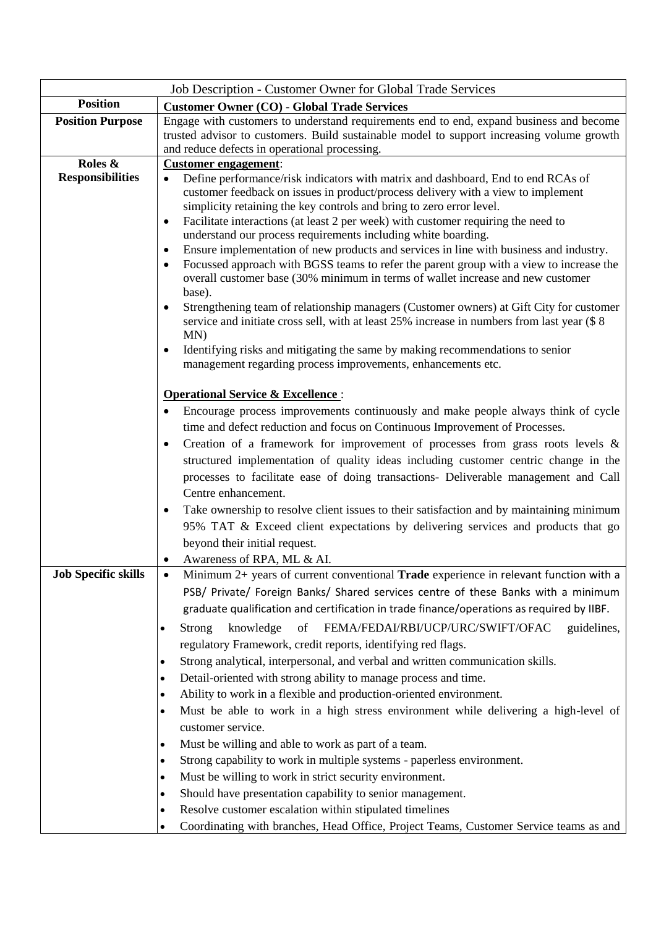|                            | Job Description - Customer Owner for Global Trade Services                                                                                                                                                                                                                                                                                                                                                                                                                                                                                                                                                                                                                                                                                                                                                                                                                                                                                                                                                                      |
|----------------------------|---------------------------------------------------------------------------------------------------------------------------------------------------------------------------------------------------------------------------------------------------------------------------------------------------------------------------------------------------------------------------------------------------------------------------------------------------------------------------------------------------------------------------------------------------------------------------------------------------------------------------------------------------------------------------------------------------------------------------------------------------------------------------------------------------------------------------------------------------------------------------------------------------------------------------------------------------------------------------------------------------------------------------------|
| <b>Position</b>            | <b>Customer Owner (CO) - Global Trade Services</b>                                                                                                                                                                                                                                                                                                                                                                                                                                                                                                                                                                                                                                                                                                                                                                                                                                                                                                                                                                              |
| <b>Position Purpose</b>    | Engage with customers to understand requirements end to end, expand business and become<br>trusted advisor to customers. Build sustainable model to support increasing volume growth<br>and reduce defects in operational processing.                                                                                                                                                                                                                                                                                                                                                                                                                                                                                                                                                                                                                                                                                                                                                                                           |
| Roles &                    | <b>Customer engagement:</b>                                                                                                                                                                                                                                                                                                                                                                                                                                                                                                                                                                                                                                                                                                                                                                                                                                                                                                                                                                                                     |
| <b>Responsibilities</b>    | Define performance/risk indicators with matrix and dashboard, End to end RCAs of<br>$\bullet$<br>customer feedback on issues in product/process delivery with a view to implement<br>simplicity retaining the key controls and bring to zero error level.<br>Facilitate interactions (at least 2 per week) with customer requiring the need to<br>$\bullet$<br>understand our process requirements including white boarding.<br>Ensure implementation of new products and services in line with business and industry.<br>Focussed approach with BGSS teams to refer the parent group with a view to increase the<br>٠<br>overall customer base (30% minimum in terms of wallet increase and new customer<br>base).<br>Strengthening team of relationship managers (Customer owners) at Gift City for customer<br>$\bullet$<br>service and initiate cross sell, with at least 25% increase in numbers from last year (\$8)<br>MN)<br>Identifying risks and mitigating the same by making recommendations to senior<br>$\bullet$ |
|                            | management regarding process improvements, enhancements etc.<br><b>Operational Service &amp; Excellence:</b><br>Encourage process improvements continuously and make people always think of cycle                                                                                                                                                                                                                                                                                                                                                                                                                                                                                                                                                                                                                                                                                                                                                                                                                               |
|                            | time and defect reduction and focus on Continuous Improvement of Processes.<br>Creation of a framework for improvement of processes from grass roots levels $\&$<br>٠<br>structured implementation of quality ideas including customer centric change in the<br>processes to facilitate ease of doing transactions- Deliverable management and Call<br>Centre enhancement.<br>Take ownership to resolve client issues to their satisfaction and by maintaining minimum<br>$\bullet$<br>95% TAT & Exceed client expectations by delivering services and products that go<br>beyond their initial request.                                                                                                                                                                                                                                                                                                                                                                                                                        |
|                            | Awareness of RPA, ML & AI.                                                                                                                                                                                                                                                                                                                                                                                                                                                                                                                                                                                                                                                                                                                                                                                                                                                                                                                                                                                                      |
| <b>Job Specific skills</b> | Minimum 2+ years of current conventional Trade experience in relevant function with a<br>PSB/ Private/ Foreign Banks/ Shared services centre of these Banks with a minimum<br>graduate qualification and certification in trade finance/operations as required by IIBF.<br>FEMA/FEDAI/RBI/UCP/URC/SWIFT/OFAC<br><b>Strong</b><br>knowledge<br>of<br>guidelines,<br>regulatory Framework, credit reports, identifying red flags.<br>Strong analytical, interpersonal, and verbal and written communication skills.<br>٠<br>Detail-oriented with strong ability to manage process and time.<br>$\bullet$<br>Ability to work in a flexible and production-oriented environment.<br>٠                                                                                                                                                                                                                                                                                                                                               |
|                            | Must be able to work in a high stress environment while delivering a high-level of<br>customer service.<br>Must be willing and able to work as part of a team.<br>٠<br>Strong capability to work in multiple systems - paperless environment.<br>$\bullet$<br>Must be willing to work in strict security environment.<br>$\bullet$<br>Should have presentation capability to senior management.<br>٠<br>Resolve customer escalation within stipulated timelines<br>Coordinating with branches, Head Office, Project Teams, Customer Service teams as and                                                                                                                                                                                                                                                                                                                                                                                                                                                                        |